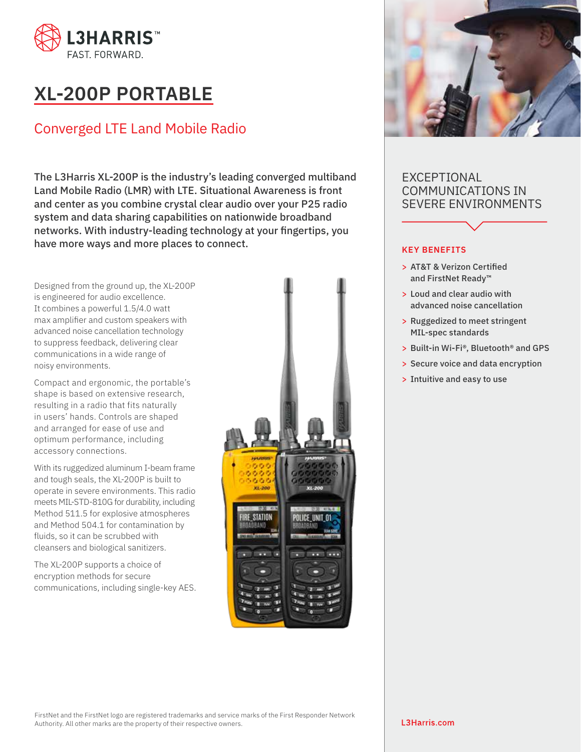

# **XL-200P PORTABLE**

## Converged LTE Land Mobile Radio

The L3Harris XL-200P is the industry's leading converged multiband Land Mobile Radio (LMR) with LTE. Situational Awareness is front and center as you combine crystal clear audio over your P25 radio system and data sharing capabilities on nationwide broadband networks. With industry-leading technology at your fingertips, you have more ways and more places to connect.

Designed from the ground up, the XL-200P is engineered for audio excellence. It combines a powerful 1.5/4.0 watt max amplifier and custom speakers with advanced noise cancellation technology to suppress feedback, delivering clear communications in a wide range of noisy environments.

Compact and ergonomic, the portable's shape is based on extensive research, resulting in a radio that fits naturally in users' hands. Controls are shaped and arranged for ease of use and optimum performance, including accessory connections.

With its ruggedized aluminum I-beam frame and tough seals, the XL-200P is built to operate in severe environments. This radio meets MIL-STD-810G for durability, including Method 511.5 for explosive atmospheres and Method 504.1 for contamination by fluids, so it can be scrubbed with cleansers and biological sanitizers.

The XL-200P supports a choice of encryption methods for secure communications, including single-key AES.





### EXCEPTIONAL COMMUNICATIONS IN SEVERE ENVIRONMENTS

#### **KEY BENEFITS**

- > AT&T & Verizon Certified and FirstNet Ready™
- > Loud and clear audio with advanced noise cancellation
- > Ruggedized to meet stringent MIL-spec standards
- > Built-in Wi-Fi®, Bluetooth® and GPS
- > Secure voice and data encryption
- > Intuitive and easy to use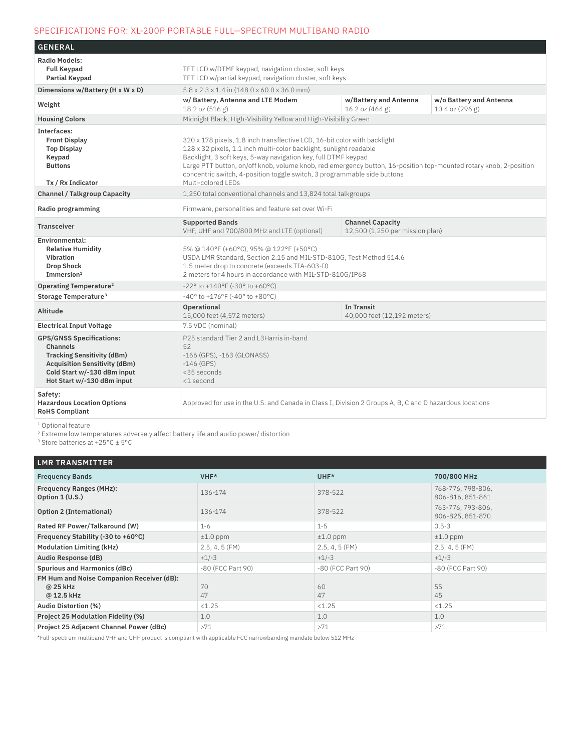#### SPECIFICATIONS FOR: XL-200P PORTABLE FULL—SPECTRUM MULTIBAND RADIO

| <b>GENERAL</b>                                                                                                                                                                               |                                                                                                                                                                                                                                                                                                                                                                                                                                          |  |  |  |  |
|----------------------------------------------------------------------------------------------------------------------------------------------------------------------------------------------|------------------------------------------------------------------------------------------------------------------------------------------------------------------------------------------------------------------------------------------------------------------------------------------------------------------------------------------------------------------------------------------------------------------------------------------|--|--|--|--|
| <b>Radio Models:</b><br><b>Full Keypad</b><br><b>Partial Keypad</b>                                                                                                                          | TFT LCD w/DTMF keypad, navigation cluster, soft keys<br>TFT LCD w/partial keypad, navigation cluster, soft keys                                                                                                                                                                                                                                                                                                                          |  |  |  |  |
| Dimensions w/Battery (H x W x D)                                                                                                                                                             | $5.8 \times 2.3 \times 1.4$ in $(148.0 \times 60.0 \times 36.0$ mm)                                                                                                                                                                                                                                                                                                                                                                      |  |  |  |  |
| Weight                                                                                                                                                                                       | w/Battery and Antenna<br>w/o Battery and Antenna<br>w/ Battery, Antenna and LTE Modem<br>18.2 oz (516 g)<br>16.2 oz (464 g)<br>10.4 oz (296 g)                                                                                                                                                                                                                                                                                           |  |  |  |  |
| <b>Housing Colors</b>                                                                                                                                                                        | Midnight Black, High-Visibility Yellow and High-Visibility Green                                                                                                                                                                                                                                                                                                                                                                         |  |  |  |  |
| Interfaces:<br><b>Front Display</b><br><b>Top Display</b><br>Keypad<br><b>Buttons</b><br>Tx / Rx Indicator                                                                                   | 320 x 178 pixels, 1.8 inch transflective LCD, 16-bit color with backlight<br>128 x 32 pixels, 1.1 inch multi-color backlight, sunlight readable<br>Backlight, 3 soft keys, 5-way navigation key, full DTMF keypad<br>Large PTT button, on/off knob, volume knob, red emergency button, 16-position top-mounted rotary knob, 2-position<br>concentric switch, 4-position toggle switch, 3 programmable side buttons<br>Multi-colored LEDs |  |  |  |  |
| <b>Channel / Talkgroup Capacity</b>                                                                                                                                                          | 1,250 total conventional channels and 13,824 total talkgroups                                                                                                                                                                                                                                                                                                                                                                            |  |  |  |  |
| Radio programming                                                                                                                                                                            | Firmware, personalities and feature set over Wi-Fi                                                                                                                                                                                                                                                                                                                                                                                       |  |  |  |  |
| <b>Transceiver</b>                                                                                                                                                                           | <b>Channel Capacity</b><br><b>Supported Bands</b><br>12,500 (1,250 per mission plan)<br>VHF, UHF and 700/800 MHz and LTE (optional)                                                                                                                                                                                                                                                                                                      |  |  |  |  |
| Environmental:<br><b>Relative Humidity</b><br><b>Vibration</b><br><b>Drop Shock</b><br>Immersion <sup>1</sup>                                                                                | 5% @ 140°F (+60°C), 95% @ 122°F (+50°C)<br>USDA LMR Standard, Section 2.15 and MIL-STD-810G, Test Method 514.6<br>1.5 meter drop to concrete (exceeds TIA-603-D)<br>2 meters for 4 hours in accordance with MIL-STD-810G/IP68                                                                                                                                                                                                            |  |  |  |  |
| Operating Temperature <sup>2</sup>                                                                                                                                                           | -22° to +140°F (-30° to +60°C)                                                                                                                                                                                                                                                                                                                                                                                                           |  |  |  |  |
| Storage Temperature <sup>3</sup>                                                                                                                                                             | $-40^{\circ}$ to $+176^{\circ}$ F (-40° to +80°C)                                                                                                                                                                                                                                                                                                                                                                                        |  |  |  |  |
| <b>Altitude</b>                                                                                                                                                                              | <b>In Transit</b><br><b>Operational</b><br>15,000 feet (4,572 meters)<br>40,000 feet (12,192 meters)                                                                                                                                                                                                                                                                                                                                     |  |  |  |  |
| <b>Electrical Input Voltage</b>                                                                                                                                                              | 7.5 VDC (nominal)                                                                                                                                                                                                                                                                                                                                                                                                                        |  |  |  |  |
| <b>GPS/GNSS Specifications:</b><br><b>Channels</b><br><b>Tracking Sensitivity (dBm)</b><br><b>Acquisition Sensitivity (dBm)</b><br>Cold Start w/-130 dBm input<br>Hot Start w/-130 dBm input | P25 standard Tier 2 and L3Harris in-band<br>52<br>-166 (GPS), -163 (GLONASS)<br>$-146$ (GPS)<br>$<$ 35 seconds<br><1 second                                                                                                                                                                                                                                                                                                              |  |  |  |  |
| Safety:<br><b>Hazardous Location Options</b><br><b>RoHS Compliant</b>                                                                                                                        | Approved for use in the U.S. and Canada in Class I, Division 2 Groups A, B, C and D hazardous locations                                                                                                                                                                                                                                                                                                                                  |  |  |  |  |

<sup>1</sup> Optional feature

² Extreme low temperatures adversely affect battery life and audio power/ distortion

3 Store batteries at +25°C ± 5°C

| <b>LMR TRANSMITTER</b>                                              |                   |                   |                                       |
|---------------------------------------------------------------------|-------------------|-------------------|---------------------------------------|
| <b>Frequency Bands</b>                                              | VHF*              | UHF*              | 700/800 MHz                           |
| <b>Frequency Ranges (MHz):</b><br>Option $1 (U.S.)$                 | 136-174           | 378-522           | 768-776, 798-806,<br>806-816, 851-861 |
| Option 2 (International)                                            | 136-174           | 378-522           | 763-776, 793-806,<br>806-825, 851-870 |
| Rated RF Power/Talkaround (W)                                       | $1 - 6$           | $1 - 5$           | $0.5 - 3$                             |
| Frequency Stability (-30 to +60 $^{\circ}$ C)                       | $±1.0$ ppm        | $±1.0$ ppm        | $±1.0$ ppm                            |
| <b>Modulation Limiting (kHz)</b>                                    | 2.5, 4, 5 (FM)    | $2.5, 4, 5$ (FM)  | $2.5, 4, 5$ (FM)                      |
| <b>Audio Response (dB)</b>                                          | $+1/-3$           | $+1/-3$           | $+1/-3$                               |
| Spurious and Harmonics (dBc)                                        | -80 (FCC Part 90) | -80 (FCC Part 90) | -80 (FCC Part 90)                     |
| FM Hum and Noise Companion Receiver (dB):<br>@ 25 kHz<br>@ 12.5 kHz | 70<br>47          | 60<br>47          | 55<br>45                              |
| <b>Audio Distortion (%)</b>                                         | < 1.25            | < 1.25            | < 1.25                                |
| <b>Project 25 Modulation Fidelity (%)</b>                           | 1.0               | 1.0               | 1.0                                   |
| Project 25 Adjacent Channel Power (dBc)                             | >71               | >71               | >71                                   |

\*Full-spectrum multiband VHF and UHF product is compliant with applicable FCC narrowbanding mandate below 512 MHz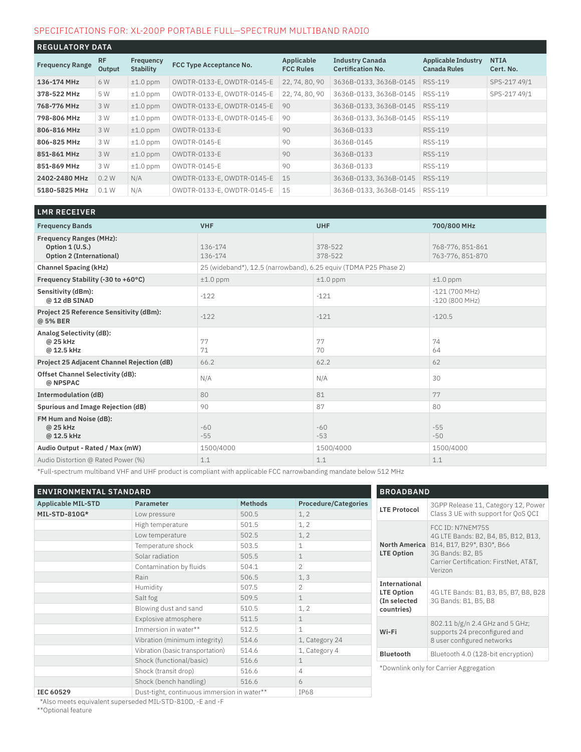#### SPECIFICATIONS FOR: XL-200P PORTABLE FULL—SPECTRUM MULTIBAND RADIO

| <b>REGULATORY DATA</b> |                     |                        |                            |                                |                                                    |                                            |                          |
|------------------------|---------------------|------------------------|----------------------------|--------------------------------|----------------------------------------------------|--------------------------------------------|--------------------------|
| <b>Frequency Range</b> | <b>RF</b><br>Output | Frequency<br>Stability | FCC Type Acceptance No.    | Applicable<br><b>FCC Rules</b> | <b>Industry Canada</b><br><b>Certification No.</b> | Applicable Industry<br><b>Canada Rules</b> | <b>NTIA</b><br>Cert. No. |
| 136-174 MHz            | 6 W                 | $±1.0$ ppm             | OWDTR-0133-E, OWDTR-0145-E | 22, 74, 80, 90                 | 3636B-0133, 3636B-0145                             | RSS-119                                    | SPS-217 49/1             |
| 378-522 MHz            | 5 W                 | $±1.0$ ppm             | OWDTR-0133-E, OWDTR-0145-E | 22, 74, 80, 90                 | 3636B-0133, 3636B-0145                             | RSS-119                                    | SPS-217 49/1             |
| 768-776 MHz            | 3 W                 | $±1.0$ ppm             | OWDTR-0133-E, OWDTR-0145-E | 90                             | 3636B-0133, 3636B-0145                             | RSS-119                                    |                          |
| 798-806 MHz            | 3 W                 | $±1.0$ ppm             | OWDTR-0133-E, OWDTR-0145-E | 90                             | 3636B-0133, 3636B-0145                             | RSS-119                                    |                          |
| 806-816 MHz            | 3 W                 | $±1.0$ ppm             | OWDTR-0133-E               | 90                             | 3636B-0133                                         | RSS-119                                    |                          |
| 806-825 MHz            | 3 W                 | $±1.0$ ppm             | OWDTR-0145-F               | 90                             | 3636B-0145                                         | RSS-119                                    |                          |
| 851-861 MHz            | 3 W                 | $±1.0$ ppm             | OWDTR-0133-E               | 90                             | 3636B-0133                                         | RSS-119                                    |                          |
| 851-869 MHz            | 3 W                 | $±1.0$ ppm             | OWDTR-0145-E               | 90                             | 3636B-0133                                         | RSS-119                                    |                          |
| 2402-2480 MHz          | 0.2W                | N/A                    | OWDTR-0133-E, OWDTR-0145-E | 15                             | 3636B-0133, 3636B-0145                             | RSS-119                                    |                          |
| 5180-5825 MHz          | 0.1W                | N/A                    | OWDTR-0133-E, OWDTR-0145-E | 15                             | 3636B-0133, 3636B-0145                             | RSS-119                                    |                          |

| <b>LMR RECEIVER</b>                                                           |                                                                  |                    |                                      |
|-------------------------------------------------------------------------------|------------------------------------------------------------------|--------------------|--------------------------------------|
| <b>Frequency Bands</b>                                                        | <b>VHF</b>                                                       | <b>UHF</b>         | 700/800 MHz                          |
| <b>Frequency Ranges (MHz):</b><br>Option 1 (U.S.)<br>Option 2 (International) | 136-174<br>136-174                                               | 378-522<br>378-522 | 768-776, 851-861<br>763-776, 851-870 |
| <b>Channel Spacing (kHz)</b>                                                  | 25 (wideband*), 12.5 (narrowband), 6.25 equiv (TDMA P25 Phase 2) |                    |                                      |
| Frequency Stability (-30 to +60°C)                                            | $±1.0$ ppm                                                       | $±1.0$ ppm         | $±1.0$ ppm                           |
| Sensitivity (dBm):<br>@12 dB SINAD                                            | $-122$                                                           | $-121$             | $-121(700 MHz)$<br>$-120(800 MHz)$   |
| Project 25 Reference Sensitivity (dBm):<br>@ 5% BER                           | $-122$                                                           | $-121$             | $-120.5$                             |
| Analog Selectivity (dB):<br>@ 25 kHz<br>@ 12.5 kHz                            | 77<br>71                                                         | 77<br>70           | 74<br>64                             |
| <b>Project 25 Adjacent Channel Rejection (dB)</b>                             | 66.2                                                             | 62.2               | 62                                   |
| Offset Channel Selectivity (dB):<br>@ NPSPAC                                  | N/A                                                              | N/A                | 30                                   |
| <b>Intermodulation (dB)</b>                                                   | 80                                                               | 81                 | 77                                   |
| Spurious and Image Rejection (dB)                                             | 90                                                               | 87                 | 80                                   |
| FM Hum and Noise (dB):<br>@ 25 kHz<br>@ 12.5 kHz                              | $-60$<br>$-55$                                                   | $-60$<br>$-53$     | $-55$<br>$-50$                       |
| Audio Output - Rated / Max (mW)                                               | 1500/4000                                                        | 1500/4000          | 1500/4000                            |
| Audio Distortion @ Rated Power (%)                                            | 1.1                                                              | 1.1                | 1.1                                  |

\*Full-spectrum multiband VHF and UHF product is compliant with applicable FCC narrowbanding mandate below 512 MHz

| <b>ENVIRONMENTAL STANDARD</b> |                                             |                | <b>BROADBAND</b>            |                                                    |                                                                                                |
|-------------------------------|---------------------------------------------|----------------|-----------------------------|----------------------------------------------------|------------------------------------------------------------------------------------------------|
| <b>Applicable MIL-STD</b>     | <b>Parameter</b>                            | <b>Methods</b> | <b>Procedure/Categories</b> |                                                    | 3GPP Release 11, Category 12, Power                                                            |
| MIL-STD-810G*                 | Low pressure                                | 500.5          | 1, 2                        | <b>LTE Protocol</b>                                | Class 3 UE with support for OoS OCI                                                            |
|                               | High temperature                            | 501.5          | 1, 2                        |                                                    | FCC ID: N7NEM75S<br>4G LTE Bands: B2, B4, B5, B12, B13,                                        |
|                               | Low temperature                             | 502.5          | 1, 2                        |                                                    |                                                                                                |
|                               | Temperature shock                           | 503.5          | $\mathbf 1$                 | <b>North America</b>                               | B14, B17, B29*, B30*, B66                                                                      |
|                               | Solar radiation                             | 505.5          | $\mathbf 1$                 | LTE Option                                         | 3G Bands: B2, B5<br>Carrier Certification: FirstNet, AT&T,<br>Verizon                          |
|                               | Contamination by fluids                     | 504.1          | $\overline{2}$              |                                                    |                                                                                                |
|                               | Rain                                        | 506.5          | 1, 3                        |                                                    |                                                                                                |
|                               | Humidity                                    | 507.5          | 2                           | International<br><b>LTE Option</b><br>(In selected | 4G LTE Bands: B1, B3, B5, B7, B8, B28<br>3G Bands: B1, B5, B8                                  |
|                               | Salt fog                                    | 509.5          | $\mathbf 1$                 |                                                    |                                                                                                |
|                               | Blowing dust and sand                       | 510.5          | 1, 2                        | countries)                                         |                                                                                                |
|                               | Explosive atmosphere                        | 511.5          | $\mathbf 1$                 |                                                    | 802.11 b/g/n 2.4 GHz and 5 GHz;<br>supports 24 preconfigured and<br>8 user configured networks |
|                               | Immersion in water**                        | 512.5          | 1                           | Wi-Fi                                              |                                                                                                |
|                               | Vibration (minimum integrity)               | 514.6          | 1, Category 24              |                                                    |                                                                                                |
|                               | Vibration (basic transportation)            | 514.6          | 1, Category 4               | <b>Bluetooth</b>                                   | Bluetooth 4.0 (128-bit encryption)                                                             |
|                               | Shock (functional/basic)                    | 516.6          | $\mathbf 1$                 | *Downlink only for Carrier Aggregation             |                                                                                                |
|                               | Shock (transit drop)                        | 516.6          | 4                           |                                                    |                                                                                                |
|                               | Shock (bench handling)                      | 516.6          | 6                           |                                                    |                                                                                                |
| IEC 60529                     | Dust-tight, continuous immersion in water** |                | IP68                        |                                                    |                                                                                                |

\*Also meets equivalent superseded MIL-STD-810D, -E and -F

\*\*Optional feature